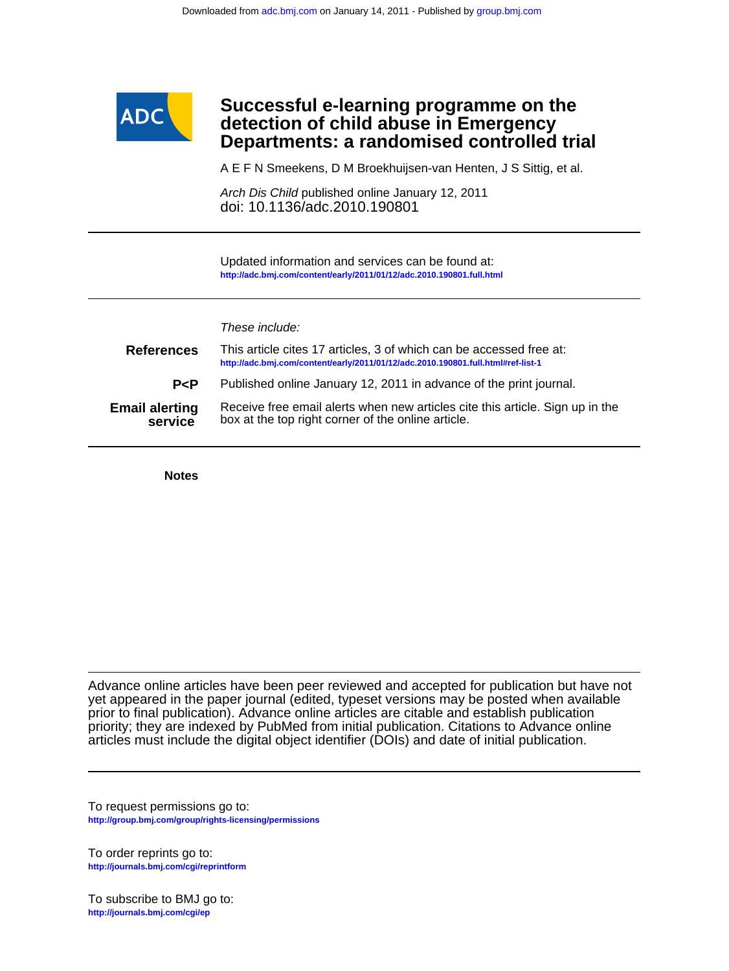

# **Departments: a randomised controlled trial detection of child abuse in Emergency Successful e-learning programme on the**

A E F N Smeekens, D M Broekhuijsen-van Henten, J S Sittig, et al.

doi: 10.1136/adc.2010.190801 Arch Dis Child published online January 12, 2011

**<http://adc.bmj.com/content/early/2011/01/12/adc.2010.190801.full.html>** Updated information and services can be found at:

## These include:

| <b>References</b>                | This article cites 17 articles, 3 of which can be accessed free at:<br>http://adc.bmj.com/content/early/2011/01/12/adc.2010.190801.full.html#ref-list-1 |
|----------------------------------|---------------------------------------------------------------------------------------------------------------------------------------------------------|
| P < P                            | Published online January 12, 2011 in advance of the print journal.                                                                                      |
| <b>Email alerting</b><br>service | Receive free email alerts when new articles cite this article. Sign up in the<br>box at the top right corner of the online article.                     |

**Notes**

articles must include the digital object identifier (DOIs) and date of initial publication. priority; they are indexed by PubMed from initial publication. Citations to Advance online prior to final publication). Advance online articles are citable and establish publication yet appeared in the paper journal (edited, typeset versions may be posted when available Advance online articles have been peer reviewed and accepted for publication but have not

**<http://group.bmj.com/group/rights-licensing/permissions>** To request permissions go to:

**<http://journals.bmj.com/cgi/reprintform>** To order reprints go to:

**<http://journals.bmj.com/cgi/ep>** To subscribe to BMJ go to: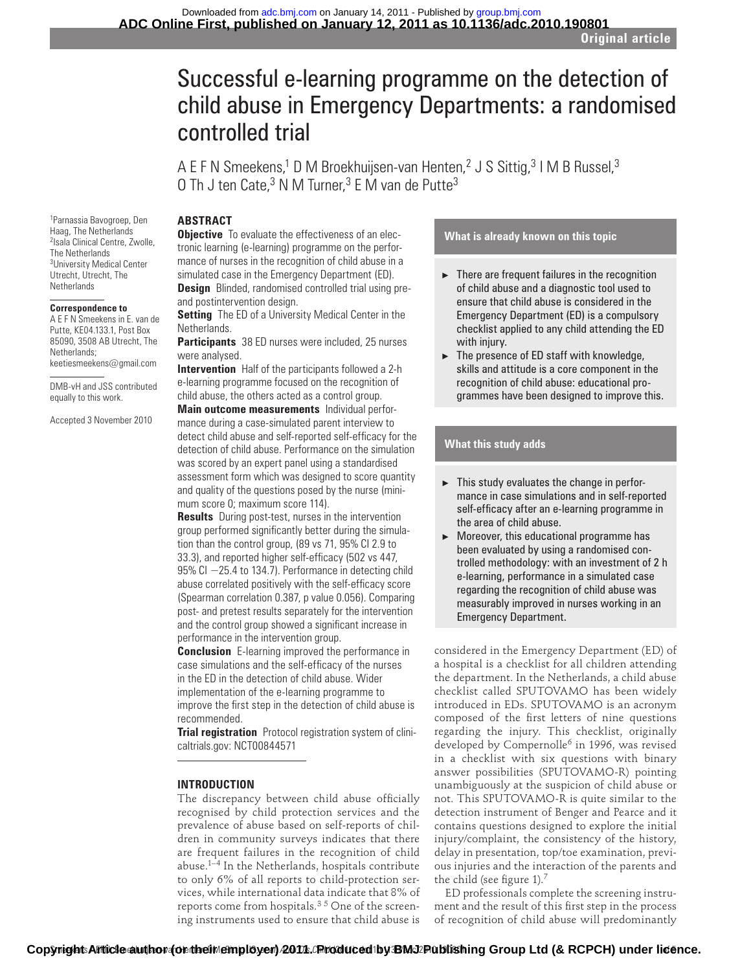# Successful e-learning programme on the detection of child abuse in Emergency Departments: a randomised controlled trial

A E F N Smeekens,<sup>1</sup> D M Broekhuijsen-van Henten,<sup>2</sup> J S Sittig,<sup>3</sup> I M B Russel,<sup>3</sup> O Th J ten Cate, $3$  N M Turner, $3$  E M van de Putte $3$ 

# **ABSTRACT**

1 Parnassia Bavogroep, Den Haag, The Netherlands <sup>2</sup> Isala Clinical Centre, Zwolle, The Netherlands <sup>3</sup>University Medical Center Utrecht, Utrecht, The **Netherlands** 

#### **Correspondence to**

 A E F N Smeekens in E. van de Putte, KE04.133.1, Post Box 85090, 3508 AB Utrecht, The Netherlands; keetiesmeekens@gmail.com

DMB-vH and JSS contributed

equally to this work.

Accepted 3 November 2010

**Objective** To evaluate the effectiveness of an electronic learning (e-learning) programme on the performance of nurses in the recognition of child abuse in a simulated case in the Emergency Department (ED).  **Design** Blinded, randomised controlled trial using preand postintervention design.

 **Setting** The ED of a University Medical Center in the Netherlands.

 **Participants** 38 ED nurses were included, 25 nurses were analysed.

 **Intervention** Half of the participants followed a 2-h e-learning programme focused on the recognition of child abuse, the others acted as a control group.

 **Main outcome measurements** Individual performance during a case-simulated parent interview to detect child abuse and self-reported self-efficacy for the detection of child abuse. Performance on the simulation was scored by an expert panel using a standardised assessment form which was designed to score quantity and quality of the questions posed by the nurse (minimum score 0; maximum score 114).

 **Results** During post-test, nurses in the intervention group performed significantly better during the simulation than the control group, (89 vs 71, 95% CI 2.9 to 33.3), and reported higher self-efficacy (502 vs 447, 95% CI -25.4 to 134.7). Performance in detecting child abuse correlated positively with the self-efficacy score (Spearman correlation 0.387, p value 0.056). Comparing post- and pretest results separately for the intervention and the control group showed a significant increase in performance in the intervention group.

 **Conclusion** E-learning improved the performance in case simulations and the self-efficacy of the nurses in the ED in the detection of child abuse. Wider implementation of the e-learning programme to improve the first step in the detection of child abuse is recommended.

 **Trial registration** Protocol registration system of clinicaltrials.gov: NCT00844571

# **INTRODUCTION**

The discrepancy between child abuse officially recognised by child protection services and the prevalence of abuse based on self-reports of children in community surveys indicates that there are frequent failures in the recognition of child abuse. $1-4$  In the Netherlands, hospitals contribute to only 6% of all reports to child-protection services, while international data indicate that 8% of reports come from hospitals. $3\,5$  One of the screening instruments used to ensure that child abuse is

## **What is already known on this topic**

- $\blacktriangleright$  There are frequent failures in the recognition of child abuse and a diagnostic tool used to ensure that child abuse is considered in the Emergency Department (ED) is a compulsory checklist applied to any child attending the ED with injury.
- $\blacktriangleright$  The presence of ED staff with knowledge, skills and attitude is a core component in the recognition of child abuse: educational programmes have been designed to improve this.

# **What this study adds**

- $\blacktriangleright$  This study evaluates the change in performance in case simulations and in self-reported self-efficacy after an e-learning programme in the area of child abuse.
- $\blacktriangleright$  Moreover, this educational programme has been evaluated by using a randomised controlled methodology: with an investment of 2 h e-learning, performance in a simulated case regarding the recognition of child abuse was measurably improved in nurses working in an Emergency Department.

considered in the Emergency Department (ED) of a hospital is a checklist for all children attending the department. In the Netherlands, a child abuse checklist called SPUTOVAMO has been widely introduced in EDs. SPUTOVAMO is an acronym composed of the first letters of nine questions regarding the injury. This checklist, originally developed by Compernolle<sup>6</sup> in 1996, was revised in a checklist with six questions with binary answer possibilities (SPUTOVAMO-R) pointing unambiguously at the suspicion of child abuse or not. This SPUTOVAMO-R is quite similar to the detection instrument of Benger and Pearce and it contains questions designed to explore the initial injury/complaint, the consistency of the history, delay in presentation, top/toe examination, previous injuries and the interaction of the parents and the child (see figure 1).<sup>7</sup>

ED professionals complete the screening instrument and the result of this first step in the process of recognition of child abuse will predominantly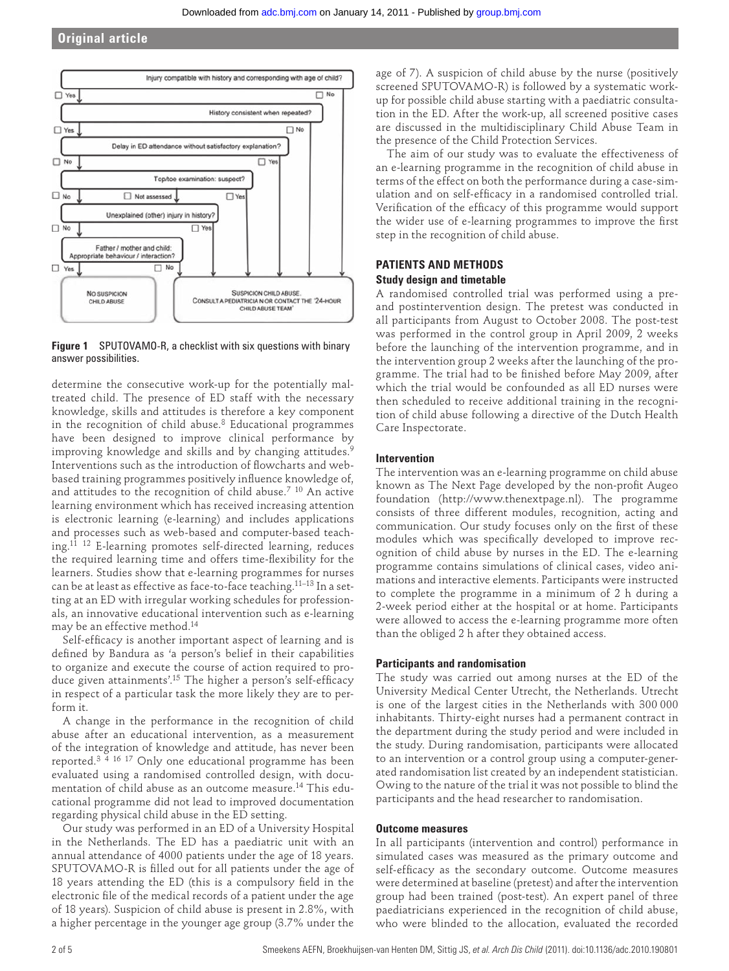# **Original article**





determine the consecutive work-up for the potentially maltreated child. The presence of ED staff with the necessary knowledge, skills and attitudes is therefore a key component in the recognition of child abuse. 8 Educational programmes have been designed to improve clinical performance by improving knowledge and skills and by changing attitudes.<sup>9</sup> Interventions such as the introduction of flowcharts and webbased training programmes positively influence knowledge of, and attitudes to the recognition of child abuse.<sup>7</sup> <sup>10</sup> An active learning environment which has received increasing attention is electronic learning (e-learning) and includes applications and processes such as web-based and computer-based teaching. 11 12 E-learning promotes self- directed learning, reduces the required learning time and offers time-flexibility for the learners. Studies show that e-learning programmes for nurses can be at least as effective as face-to-face teaching.<sup>11-13</sup> In a setting at an ED with irregular working schedules for professionals, an innovative educational intervention such as e-learning may be an effective method. 14

Self-efficacy is another important aspect of learning and is defined by Bandura as 'a person's belief in their capabilities to organize and execute the course of action required to produce given attainments'.<sup>15</sup> The higher a person's self-efficacy in respect of a particular task the more likely they are to perform it.

A change in the performance in the recognition of child abuse after an educational intervention, as a measurement of the integration of knowledge and attitude, has never been reported. 3 4 16 17 Only one educational programme has been evaluated using a randomised controlled design, with documentation of child abuse as an outcome measure. 14 This educational programme did not lead to improved documentation regarding physical child abuse in the ED setting.

Our study was performed in an ED of a University Hospital in the Netherlands. The ED has a paediatric unit with an annual attendance of 4000 patients under the age of 18 years. SPUTOVAMO-R is filled out for all patients under the age of 18 years attending the ED (this is a compulsory field in the electronic file of the medical records of a patient under the age of 18 years). Suspicion of child abuse is present in 2.8%, with a higher percentage in the younger age group (3.7% under the

age of 7). A suspicion of child abuse by the nurse (positively screened SPUTOVAMO-R) is followed by a systematic workup for possible child abuse starting with a paediatric consultation in the ED. After the work-up, all screened positive cases are discussed in the multidisciplinary Child Abuse Team in the presence of the Child Protection Services.

The aim of our study was to evaluate the effectiveness of an e-learning programme in the recognition of child abuse in terms of the effect on both the performance during a case-simulation and on self-efficacy in a randomised controlled trial. Verification of the efficacy of this programme would support the wider use of e-learning programmes to improve the first step in the recognition of child abuse.

# **PATIENTS AND METHODS Study design and timetable**

A randomised controlled trial was performed using a preand postintervention design. The pretest was conducted in all participants from August to October 2008. The post-test was performed in the control group in April 2009, 2 weeks before the launching of the intervention programme, and in the intervention group 2 weeks after the launching of the programme. The trial had to be finished before May 2009, after which the trial would be confounded as all ED nurses were then scheduled to receive additional training in the recognition of child abuse following a directive of the Dutch Health Care Inspectorate.

#### **Intervention**

The intervention was an e-learning programme on child abuse known as The Next Page developed by the non-profit Augeo foundation (http://www.thenextpage.nl). The programme consists of three different modules, recognition, acting and communication. Our study focuses only on the first of these modules which was specifically developed to improve recognition of child abuse by nurses in the ED. The e-learning programme contains simulations of clinical cases, video animations and interactive elements. Participants were instructed to complete the programme in a minimum of 2 h during a 2-week period either at the hospital or at home. Participants were allowed to access the e-learning programme more often than the obliged 2 h after they obtained access.

#### **Participants and randomisation**

The study was carried out among nurses at the ED of the University Medical Center Utrecht, the Netherlands. Utrecht is one of the largest cities in the Netherlands with 300 000 inhabitants. Thirty-eight nurses had a permanent contract in the department during the study period and were included in the study. During randomisation, participants were allocated to an intervention or a control group using a computer-generated randomisation list created by an independent statistician. Owing to the nature of the trial it was not possible to blind the participants and the head researcher to randomisation.

## **Outcome measures**

In all participants (intervention and control) performance in simulated cases was measured as the primary outcome and self-efficacy as the secondary outcome. Outcome measures were determined at baseline (pretest) and after the intervention group had been trained (post-test). An expert panel of three paediatricians experienced in the recognition of child abuse, who were blinded to the allocation, evaluated the recorded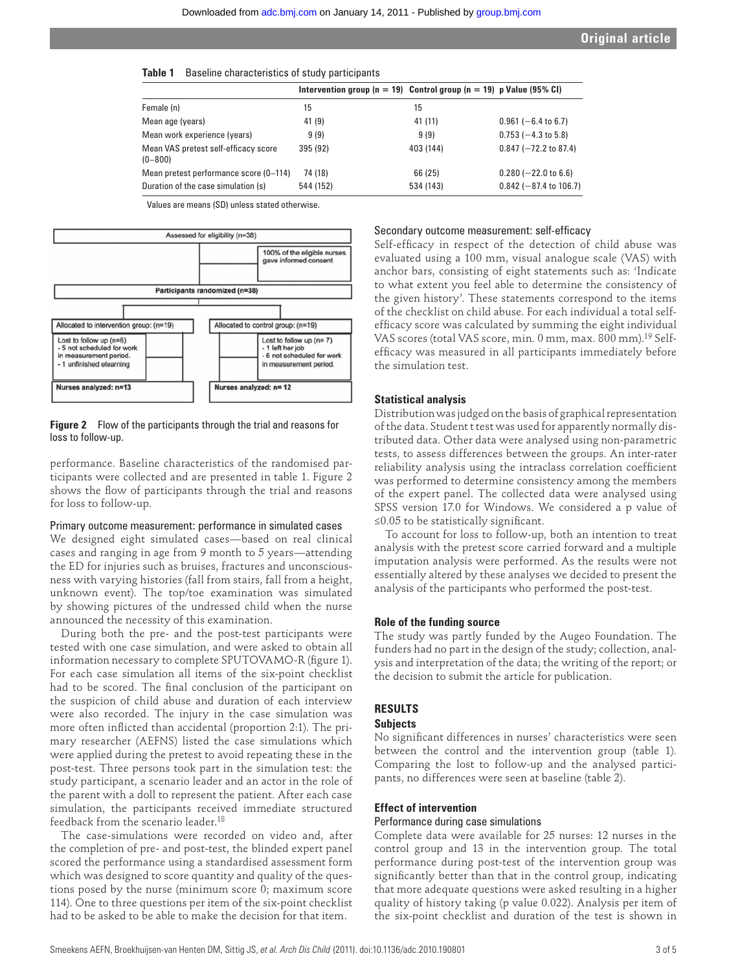| Table 1 | Baseline characteristics of study participants |
|---------|------------------------------------------------|
|---------|------------------------------------------------|

|                                                     | Intervention group ( $n = 19$ ) Control group ( $n = 19$ ) p Value (95% CI) |           |                                |
|-----------------------------------------------------|-----------------------------------------------------------------------------|-----------|--------------------------------|
| Female (n)                                          | 15                                                                          | 15        |                                |
| Mean age (years)                                    | 41(9)                                                                       | 41 (11)   | $0.961$ (-6.4 to 6.7)          |
| Mean work experience (years)                        | 9(9)                                                                        | 9(9)      | $0.753 (-4.3 \text{ to } 5.8)$ |
| Mean VAS pretest self-efficacy score<br>$(0 - 800)$ | 395 (92)                                                                    | 403 (144) | $0.847 (-72.2$ to 87.4)        |
| Mean pretest performance score (0-114)              | 74 (18)                                                                     | 66 (25)   | $0.280$ (-22.0 to 6.6)         |
| Duration of the case simulation (s)                 | 544 (152)                                                                   | 534 (143) | $0.842$ (-87.4 to 106.7)       |
|                                                     |                                                                             |           |                                |

Values are means (SD) unless stated otherwise.



 **Figure 2** Flow of the participants through the trial and reasons for loss to follow-up.

performance. Baseline characteristics of the randomised participants were collected and are presented in table 1. Figure 2 shows the flow of participants through the trial and reasons for loss to follow-up.

#### Primary outcome measurement: performance in simulated cases

We designed eight simulated cases—based on real clinical cases and ranging in age from 9 month to 5 years—attending the ED for injuries such as bruises, fractures and unconsciousness with varying histories (fall from stairs, fall from a height, unknown event). The top/toe examination was simulated by showing pictures of the undressed child when the nurse announced the necessity of this examination.

During both the pre- and the post-test participants were tested with one case simulation, and were asked to obtain all information necessary to complete SPUTOVAMO-R (figure 1). For each case simulation all items of the six-point checklist had to be scored. The final conclusion of the participant on the suspicion of child abuse and duration of each interview were also recorded. The injury in the case simulation was more often inflicted than accidental (proportion 2:1). The primary researcher (AEFNS) listed the case simulations which were applied during the pretest to avoid repeating these in the post-test. Three persons took part in the simulation test: the study participant, a scenario leader and an actor in the role of the parent with a doll to represent the patient. After each case simulation, the participants received immediate structured feedback from the scenario leader.<sup>18</sup>

The case-simulations were recorded on video and, after the completion of pre- and post-test, the blinded expert panel scored the performance using a standardised assessment form which was designed to score quantity and quality of the questions posed by the nurse (minimum score 0; maximum score 114). One to three questions per item of the six-point checklist had to be asked to be able to make the decision for that item.

#### Secondary outcome measurement: self-efficacy

Self-efficacy in respect of the detection of child abuse was evaluated using a 100 mm, visual analogue scale (VAS) with anchor bars, consisting of eight statements such as: 'Indicate to what extent you feel able to determine the consistency of the given history'. These statements correspond to the items of the checklist on child abuse. For each individual a total selfefficacy score was calculated by summing the eight individual VAS scores (total VAS score, min. 0 mm, max. 800 mm). 19 Selfefficacy was measured in all participants immediately before the simulation test.

#### **Statistical analysis**

Distribution was judged on the basis of graphical representation of the data. Student t test was used for apparently normally distributed data. Other data were analysed using non-parametric tests, to assess differences between the groups. An inter-rater reliability analysis using the intraclass correlation coefficient was performed to determine consistency among the members of the expert panel. The collected data were analysed using SPSS version 17.0 for Windows. We considered a p value of ≤0.05 to be statistically significant.

To account for loss to follow-up, both an intention to treat analysis with the pretest score carried forward and a multiple imputation analysis were performed. As the results were not essentially altered by these analyses we decided to present the analysis of the participants who performed the post-test.

#### **Role of the funding source**

The study was partly funded by the Augeo Foundation. The funders had no part in the design of the study; collection, analysis and interpretation of the data; the writing of the report; or the decision to submit the article for publication.

# **RESULTS**

# **Subjects**

No significant differences in nurses' characteristics were seen between the control and the intervention group (table 1). Comparing the lost to follow-up and the analysed participants, no differences were seen at baseline (table 2).

#### **Effect of intervention**

#### Performance during case simulations

Complete data were available for 25 nurses: 12 nurses in the control group and 13 in the intervention group. The total performance during post-test of the intervention group was significantly better than that in the control group, indicating that more adequate questions were asked resulting in a higher quality of history taking (p value 0.022). Analysis per item of the six-point checklist and duration of the test is shown in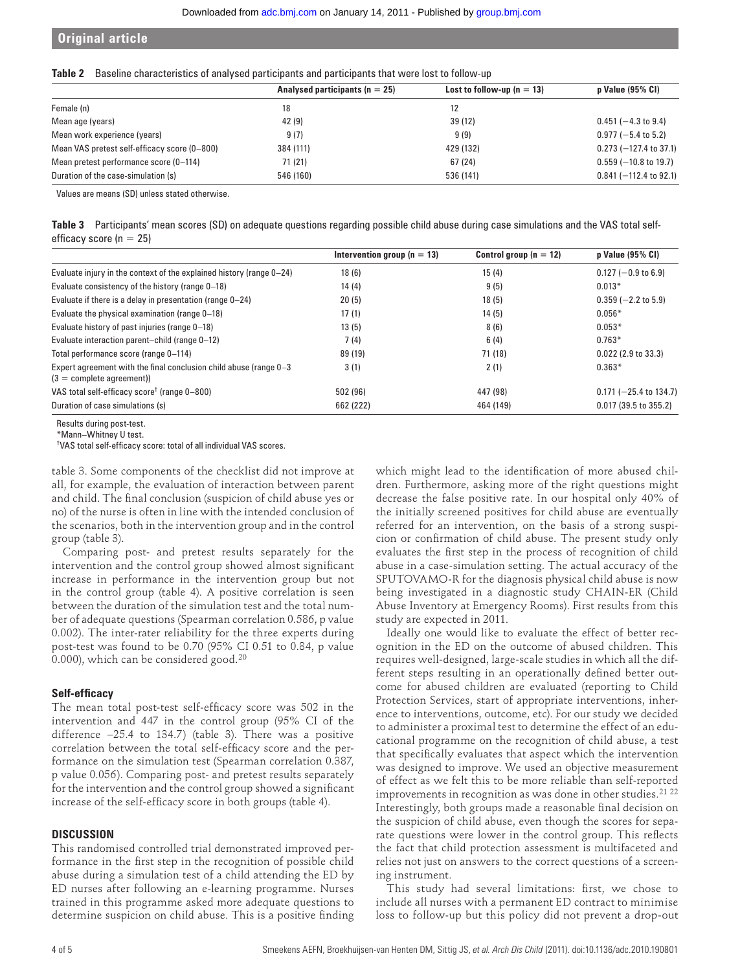# **Original article**

|  | Table 2 Baseline characteristics of analysed participants and participants that were lost to follow-up |  |  |  |
|--|--------------------------------------------------------------------------------------------------------|--|--|--|
|--|--------------------------------------------------------------------------------------------------------|--|--|--|

|                                              | Analysed participants ( $n = 25$ ) | Lost to follow-up $(n = 13)$ | p Value (95% CI)         |
|----------------------------------------------|------------------------------------|------------------------------|--------------------------|
| Female (n)                                   | 18                                 | 12                           |                          |
| Mean age (years)                             | 42(9)                              | 39 (12)                      | $0.451$ (-4.3 to 9.4)    |
| Mean work experience (years)                 | 9(7)                               | 9(9)                         | $0.977$ (-5.4 to 5.2)    |
| Mean VAS pretest self-efficacy score (0-800) | 384 (111)                          | 429 (132)                    | $0.273$ (-127.4 to 37.1) |
| Mean pretest performance score (0-114)       | 71 (21)                            | 67 (24)                      | $0.559$ (-10.8 to 19.7)  |
| Duration of the case-simulation (s)          | 546 (160)                          | 536 (141)                    | $0.841$ (-112.4 to 92.1) |

Values are means (SD) unless stated otherwise.

| Table 3 Participants' mean scores (SD) on adequate questions regarding possible child abuse during case simulations and the VAS total self- |
|---------------------------------------------------------------------------------------------------------------------------------------------|
| efficacy score ( $n = 25$ )                                                                                                                 |

|                                                                                                 | Intervention group ( $n = 13$ ) | Control group $(n = 12)$ | p Value (95% CI)               |
|-------------------------------------------------------------------------------------------------|---------------------------------|--------------------------|--------------------------------|
| Evaluate injury in the context of the explained history (range 0–24)                            | 18(6)                           | 15(4)                    | $0.127 (-0.9 \text{ to } 6.9)$ |
| Evaluate consistency of the history (range 0–18)                                                | 14(4)                           | 9(5)                     | $0.013*$                       |
| Evaluate if there is a delay in presentation (range 0-24)                                       | 20(5)                           | 18(5)                    | $0.359$ (-2.2 to 5.9)          |
| Evaluate the physical examination (range 0-18)                                                  | 17(1)                           | 14(5)                    | $0.056*$                       |
| Evaluate history of past injuries (range 0-18)                                                  | 13(5)                           | 8(6)                     | $0.053*$                       |
| Evaluate interaction parent-child (range 0-12)                                                  | 7(4)                            | 6(4)                     | $0.763*$                       |
| Total performance score (range 0-114)                                                           | 89 (19)                         | 71 (18)                  | $0.022$ (2.9 to 33.3)          |
| Expert agreement with the final conclusion child abuse (range 0-3<br>$(3 =$ complete agreement) | 3(1)                            | 2(1)                     | $0.363*$                       |
| VAS total self-efficacy score <sup>†</sup> (range 0–800)                                        | 502 (96)                        | 447 (98)                 | $0.171$ (-25.4 to 134.7)       |
| Duration of case simulations (s)                                                                | 662 (222)                       | 464 (149)                | $0.017$ (39.5 to 355.2)        |

Results during post-test.

\*Mann–Whitney U test.

<sup>†</sup>VAS total self-efficacy score: total of all individual VAS scores.

table 3. Some components of the checklist did not improve at all, for example, the evaluation of interaction between parent and child. The final conclusion (suspicion of child abuse yes or no) of the nurse is often in line with the intended conclusion of the scenarios, both in the intervention group and in the control group (table 3).

Comparing post- and pretest results separately for the intervention and the control group showed almost significant increase in performance in the intervention group but not in the control group (table 4). A positive correlation is seen between the duration of the simulation test and the total number of adequate questions (Spearman correlation 0.586, p value 0.002). The inter-rater reliability for the three experts during post-test was found to be 0.70 (95% CI 0.51 to 0.84, p value 0.000), which can be considered good. 20

# **Self-efficacy**

The mean total post-test self-efficacy score was 502 in the intervention and 447 in the control group (95% CI of the difference −25.4 to 134.7) (table 3). There was a positive correlation between the total self-efficacy score and the performance on the simulation test (Spearman correlation 0.387, p value 0.056). Comparing post- and pretest results separately for the intervention and the control group showed a significant increase of the self-efficacy score in both groups (table 4).

# **DISCUSSION**

This randomised controlled trial demonstrated improved performance in the first step in the recognition of possible child abuse during a simulation test of a child attending the ED by ED nurses after following an e-learning programme. Nurses trained in this programme asked more adequate questions to determine suspicion on child abuse. This is a positive finding which might lead to the identification of more abused children. Furthermore, asking more of the right questions might decrease the false positive rate. In our hospital only 40% of the initially screened positives for child abuse are eventually referred for an intervention, on the basis of a strong suspicion or confirmation of child abuse. The present study only evaluates the first step in the process of recognition of child abuse in a case-simulation setting. The actual accuracy of the SPUTOVAMO-R for the diagnosis physical child abuse is now being investigated in a diagnostic study CHAIN-ER (Child Abuse Inventory at Emergency Rooms). First results from this study are expected in 2011.

Ideally one would like to evaluate the effect of better recognition in the ED on the outcome of abused children. This requires well-designed, large-scale studies in which all the different steps resulting in an operationally defined better outcome for abused children are evaluated (reporting to Child Protection Services, start of appropriate interventions, inherence to interventions, outcome, etc). For our study we decided to administer a proximal test to determine the effect of an educational programme on the recognition of child abuse, a test that specifically evaluates that aspect which the intervention was designed to improve. We used an objective measurement of effect as we felt this to be more reliable than self-reported improvements in recognition as was done in other studies.<sup>21</sup><sup>22</sup> Interestingly, both groups made a reasonable final decision on the suspicion of child abuse, even though the scores for separate questions were lower in the control group. This reflects the fact that child protection assessment is multifaceted and relies not just on answers to the correct questions of a screening instrument.

This study had several limitations: first, we chose to include all nurses with a permanent ED contract to minimise loss to follow-up but this policy did not prevent a drop-out